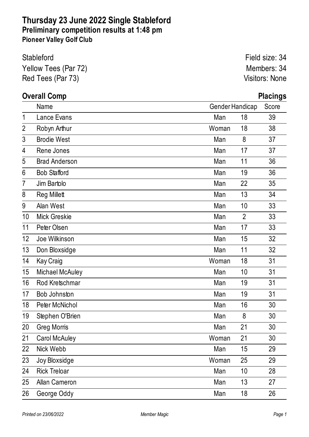### **Thursday 23 June 2022 Single Stableford Preliminary competition results at 1:48 pm Pioneer Valley Golf Club**

| Stableford           | Field size: 34 |
|----------------------|----------------|
| Yellow Tees (Par 72) | Members: 34    |
| Red Tees (Par 73)    | Visitors: None |

## **Overall Comp Placings**

|                | Name                   | Gender Handicap |                | Score |
|----------------|------------------------|-----------------|----------------|-------|
| 1              | Lance Evans            | Man             | 18             | 39    |
| $\overline{2}$ | Robyn Arthur           | Woman           | 18             | 38    |
| 3              | <b>Brodie West</b>     | Man             | 8              | 37    |
| 4              | Rene Jones             | Man             | 17             | 37    |
| 5              | <b>Brad Anderson</b>   | Man             | 11             | 36    |
| 6              | <b>Bob Stafford</b>    | Man             | 19             | 36    |
| $\overline{7}$ | Jim Bartolo            | Man             | 22             | 35    |
| 8              | <b>Reg Millett</b>     | Man             | 13             | 34    |
| 9              | Alan West              | Man             | 10             | 33    |
| 10             | <b>Mick Greskie</b>    | Man             | $\overline{2}$ | 33    |
| 11             | Peter Olsen            | Man             | 17             | 33    |
| 12             | Joe Wilkinson          | Man             | 15             | 32    |
| 13             | Don Bloxsidge          | Man             | 11             | 32    |
| 14             | <b>Kay Craig</b>       | Woman           | 18             | 31    |
| 15             | <b>Michael McAuley</b> | Man             | 10             | 31    |
| 16             | Rod Kretschmar         | Man             | 19             | 31    |
| 17             | Bob Johnston           | Man             | 19             | 31    |
| 18             | Peter McNichol         | Man             | 16             | 30    |
| 19             | Stephen O'Brien        | Man             | 8              | 30    |
| 20             | <b>Greg Morris</b>     | Man             | 21             | 30    |
| 21             | <b>Carol McAuley</b>   | Woman           | 21             | 30    |
| 22             | Nick Webb              | Man             | 15             | 29    |
| 23             | Joy Bloxsidge          | Woman           | 25             | 29    |
| 24             | <b>Rick Treloar</b>    | Man             | 10             | 28    |
| 25             | <b>Allan Cameron</b>   | Man             | 13             | 27    |
| 26             | George Oddy            | Man             | 18             | 26    |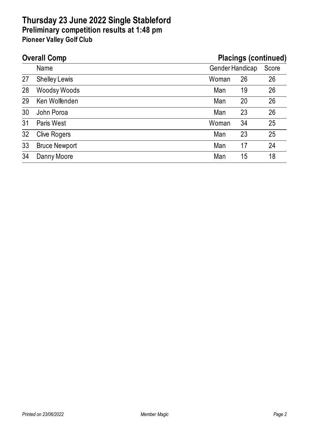#### **Thursday 23 June 2022 Single Stableford Preliminary competition results at 1:48 pm Pioneer Valley Golf Club**

# **Overall Comp Placings (continued)** Name Gender Handicap Score 27 Shelley Lewis Woman 26 26 28 Woodsy Woods **Man** 19 26 29 Ken Wolfenden Man 20 26 30 John Poroa Man 23 26 31 Paris West 25 32 Clive Rogers Man 23 25 33 Bruce Newport 24 34 Danny Moore Man 15 18